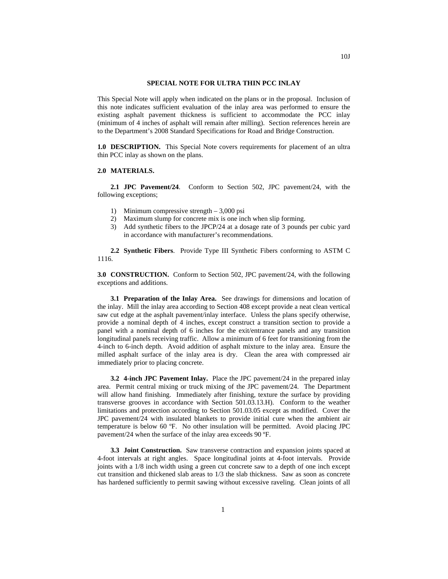## **SPECIAL NOTE FOR ULTRA THIN PCC INLAY**

This Special Note will apply when indicated on the plans or in the proposal. Inclusion of this note indicates sufficient evaluation of the inlay area was performed to ensure the existing asphalt pavement thickness is sufficient to accommodate the PCC inlay (minimum of 4 inches of asphalt will remain after milling). Section references herein are to the Department's 2008 Standard Specifications for Road and Bridge Construction.

**1.0 DESCRIPTION.** This Special Note covers requirements for placement of an ultra thin PCC inlay as shown on the plans.

## **2.0 MATERIALS.**

**2.1 JPC Pavement/24**. Conform to Section 502, JPC pavement/24, with the following exceptions;

- 1) Minimum compressive strength 3,000 psi
- 2) Maximum slump for concrete mix is one inch when slip forming.
- 3) Add synthetic fibers to the JPCP/24 at a dosage rate of 3 pounds per cubic yard in accordance with manufacturer's recommendations.

**2.2 Synthetic Fibers**. Provide Type III Synthetic Fibers conforming to ASTM C 1116.

**3.0 CONSTRUCTION.** Conform to Section 502, JPC pavement/24, with the following exceptions and additions.

**3.1 Preparation of the Inlay Area.** See drawings for dimensions and location of the inlay. Mill the inlay area according to Section 408 except provide a neat clean vertical saw cut edge at the asphalt pavement/inlay interface. Unless the plans specify otherwise, provide a nominal depth of 4 inches, except construct a transition section to provide a panel with a nominal depth of 6 inches for the exit/entrance panels and any transition longitudinal panels receiving traffic. Allow a minimum of 6 feet for transitioning from the 4-inch to 6-inch depth. Avoid addition of asphalt mixture to the inlay area. Ensure the milled asphalt surface of the inlay area is dry. Clean the area with compressed air immediately prior to placing concrete.

**3.2 4-inch JPC Pavement Inlay.** Place the JPC pavement/24 in the prepared inlay area. Permit central mixing or truck mixing of the JPC pavement/24. The Department will allow hand finishing. Immediately after finishing, texture the surface by providing transverse grooves in accordance with Section 501.03.13.H). Conform to the weather limitations and protection according to Section 501.03.05 except as modified. Cover the JPC pavement/24 with insulated blankets to provide initial cure when the ambient air temperature is below 60 ºF. No other insulation will be permitted. Avoid placing JPC pavement/24 when the surface of the inlay area exceeds 90 ºF.

**3.3 Joint Construction.** Saw transverse contraction and expansion joints spaced at 4-foot intervals at right angles. Space longitudinal joints at 4-foot intervals. Provide joints with a 1/8 inch width using a green cut concrete saw to a depth of one inch except cut transition and thickened slab areas to 1/3 the slab thickness. Saw as soon as concrete has hardened sufficiently to permit sawing without excessive raveling. Clean joints of all